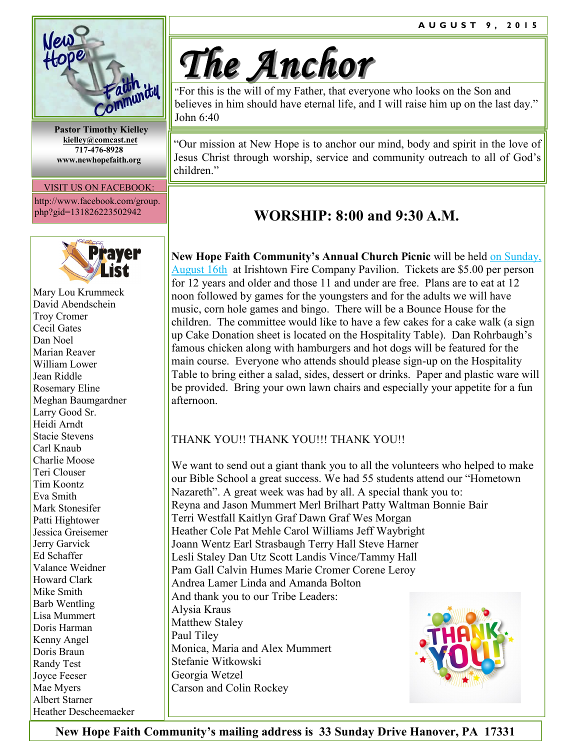

 **Pastor Timothy Kielley [kielley@comcast.net](mailto:kielley@comcast.net) 717-476-8928 www.newhopefaith.org**

#### VISIT US ON FACEBOOK:

http://www.facebook.com/group. php?gid=131826223502942



Mary Lou Krummeck David Abendschein Troy Cromer Cecil Gates Dan Noel Marian Reaver William Lower Jean Riddle Rosemary Eline Meghan Baumgardner Larry Good Sr. Heidi Arndt Stacie Stevens Carl Knaub Charlie Moose Teri Clouser Tim Koontz Eva Smith Mark Stonesifer Patti Hightower Jessica Greisemer Jerry Garvick Ed Schaffer Valance Weidner Howard Clark Mike Smith Barb Wentling Lisa Mummert Doris Harman Kenny Angel Doris Braun Randy Test Joyce Feeser Mae Myers Albert Starner Heather Descheemaeker

# *The Anchor*

"For this is the will of my Father, that everyone who looks on the Son and believes in him should have eternal life, and I will raise him up on the last day." John 6:40

"Our mission at New Hope is to anchor our mind, body and spirit in the love of Jesus Christ through worship, service and community outreach to all of God's children<sup>"</sup>

# **WORSHIP: 8:00 and 9:30 A.M.**

**New Hope Faith Community's Annual Church Picnic** will be held on Sunday, August 16th at Irishtown Fire Company Pavilion. Tickets are \$5.00 per person for 12 years and older and those 11 and under are free. Plans are to eat at 12 noon followed by games for the youngsters and for the adults we will have music, corn hole games and bingo. There will be a Bounce House for the children. The committee would like to have a few cakes for a cake walk (a sign up Cake Donation sheet is located on the Hospitality Table). Dan Rohrbaugh's famous chicken along with hamburgers and hot dogs will be featured for the main course. Everyone who attends should please sign-up on the Hospitality Table to bring either a salad, sides, dessert or drinks. Paper and plastic ware will be provided. Bring your own lawn chairs and especially your appetite for a fun afternoon.

## THANK YOU!! THANK YOU!!! THANK YOU!!

We want to send out a giant thank you to all the volunteers who helped to make our Bible School a great success. We had 55 students attend our "Hometown Nazareth". A great week was had by all. A special thank you to: Reyna and Jason Mummert Merl Brilhart Patty Waltman Bonnie Bair Terri Westfall Kaitlyn Graf Dawn Graf Wes Morgan Heather Cole Pat Mehle Carol Williams Jeff Waybright Joann Wentz Earl Strasbaugh Terry Hall Steve Harner Lesli Staley Dan Utz Scott Landis Vince/Tammy Hall Pam Gall Calvin Humes Marie Cromer Corene Leroy Andrea Lamer Linda and Amanda Bolton And thank you to our Tribe Leaders: Alysia Kraus Matthew Staley Paul Tiley Monica, Maria and Alex Mummert Stefanie Witkowski Georgia Wetzel Carson and Colin Rockey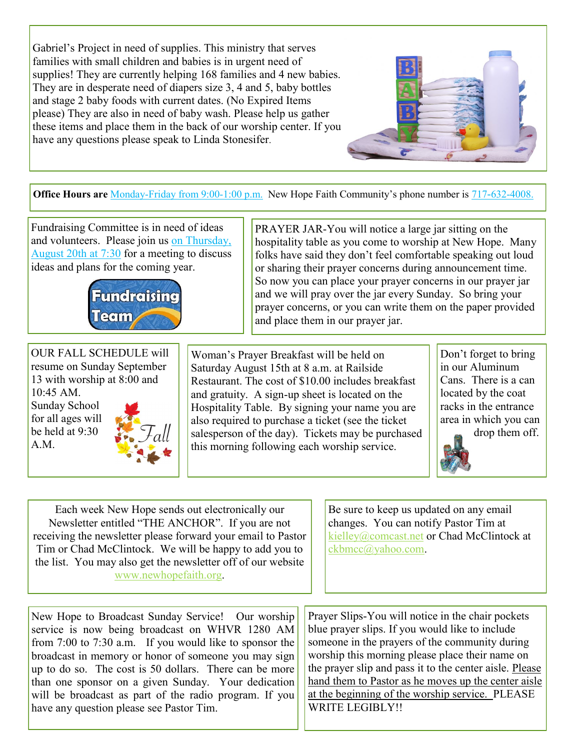Gabriel's Project in need of supplies. This ministry that serves families with small children and babies is in urgent need of supplies! They are currently helping 168 families and 4 new babies. They are in desperate need of diapers size 3, 4 and 5, baby bottles and stage 2 baby foods with current dates. (No Expired Items please) They are also in need of baby wash. Please help us gather these items and place them in the back of our worship center. If you have any questions please speak to Linda Stonesifer.



PRAYER JAR-You will notice a large jar sitting on the

hospitality table as you come to worship at New Hope. Many folks have said they don't feel comfortable speaking out loud or sharing their prayer concerns during announcement time. So now you can place your prayer concerns in our prayer jar and we will pray over the jar every Sunday. So bring your prayer concerns, or you can write them on the paper provided

**Office Hours are** Monday-Friday from 9:00-1:00 p.m. New Hope Faith Community's phone number is 717-632-4008.

Fundraising Committee is in need of ideas and volunteers. Please join us on Thursday, August 20th at 7:30 for a meeting to discuss ideas and plans for the coming year.



OUR FALL SCHEDULE will resume on Sunday September 13 with worship at 8:00 and  $10.45$  AM Sunday School for all ages will be held at 9:30 A.M.

Woman's Prayer Breakfast will be held on Saturday August 15th at 8 a.m. at Railside Restaurant. The cost of \$10.00 includes breakfast and gratuity. A sign-up sheet is located on the Hospitality Table. By signing your name you are also required to purchase a ticket (see the ticket salesperson of the day). Tickets may be purchased this morning following each worship service.

and place them in our prayer jar.

Don't forget to bring in our Aluminum Cans. There is a can located by the coat racks in the entrance area in which you can drop them off.



Each week New Hope sends out electronically our Newsletter entitled "THE ANCHOR". If you are not receiving the newsletter please forward your email to Pastor Tim or Chad McClintock. We will be happy to add you to the list. You may also get the newsletter off of our website [www.newhopefaith.org.](http://www.newhopefaith.org)

Be sure to keep us updated on any email changes. You can notify Pastor Tim at [kielley@comcast.net](mailto:kielley@comcast.net) or Chad McClintock at [ckbmcc@yahoo.com.](mailto:ckbmcc@yahoo.com)

New Hope to Broadcast Sunday Service! Our worship service is now being broadcast on WHVR 1280 AM from 7:00 to 7:30 a.m. If you would like to sponsor the broadcast in memory or honor of someone you may sign up to do so. The cost is 50 dollars. There can be more than one sponsor on a given Sunday. Your dedication will be broadcast as part of the radio program. If you have any question please see Pastor Tim.

Prayer Slips-You will notice in the chair pockets blue prayer slips. If you would like to include someone in the prayers of the community during worship this morning please place their name on the prayer slip and pass it to the center aisle. Please hand them to Pastor as he moves up the center aisle at the beginning of the worship service. PLEASE WRITE LEGIBLY!!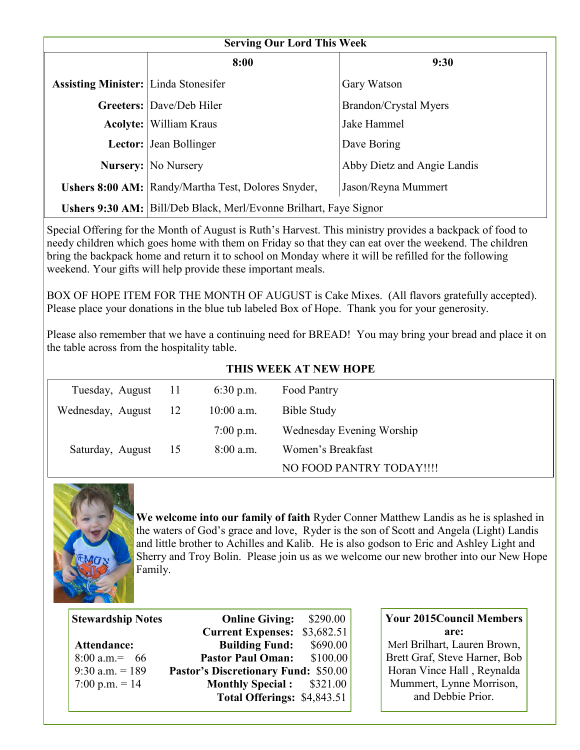| <b>Serving Our Lord This Week</b>           |                                                                          |                              |  |  |  |
|---------------------------------------------|--------------------------------------------------------------------------|------------------------------|--|--|--|
|                                             | 8:00                                                                     | 9:30                         |  |  |  |
| <b>Assisting Minister:</b> Linda Stonesifer |                                                                          | Gary Watson                  |  |  |  |
|                                             | <b>Greeters:</b> Dave/Deb Hiler                                          | <b>Brandon/Crystal Myers</b> |  |  |  |
|                                             | <b>Acolyte:</b> William Kraus                                            | Jake Hammel                  |  |  |  |
|                                             | <b>Lector:</b> Jean Bollinger<br>Dave Boring                             |                              |  |  |  |
|                                             | <b>Nursery:</b> No Nursery<br>Abby Dietz and Angie Landis                |                              |  |  |  |
|                                             | Ushers 8:00 AM: Randy/Martha Test, Dolores Snyder,                       | Jason/Reyna Mummert          |  |  |  |
|                                             | <b>Ushers 9:30 AM:</b> Bill/Deb Black, Merl/Evonne Brilhart, Faye Signor |                              |  |  |  |

Special Offering for the Month of August is Ruth's Harvest. This ministry provides a backpack of food to needy children which goes home with them on Friday so that they can eat over the weekend. The children bring the backpack home and return it to school on Monday where it will be refilled for the following weekend. Your gifts will help provide these important meals.

BOX OF HOPE ITEM FOR THE MONTH OF AUGUST is Cake Mixes. (All flavors gratefully accepted). Please place your donations in the blue tub labeled Box of Hope. Thank you for your generosity.

Please also remember that we have a continuing need for BREAD! You may bring your bread and place it on the table across from the hospitality table.

| THIS WEEK AT NEW HOPE |      |              |                           |  |
|-----------------------|------|--------------|---------------------------|--|
| Tuesday, August       | - 11 | $6:30$ p.m.  | Food Pantry               |  |
| Wednesday, August     | -12  | $10:00$ a.m. | <b>Bible Study</b>        |  |
|                       |      | $7:00$ p.m.  | Wednesday Evening Worship |  |
| Saturday, August      | -15  | $8:00$ a.m.  | Women's Breakfast         |  |
|                       |      |              | NO FOOD PANTRY TODAY!!!!  |  |

#### **THIS WEEK AT NEW HOPE**



j

**We welcome into our family of faith** Ryder Conner Matthew Landis as he is splashed in the waters of God's grace and love, Ryder is the son of Scott and Angela (Light) Landis and little brother to Achilles and Kalib. He is also godson to Eric and Ashley Light and Sherry and Troy Bolin. Please join us as we welcome our new brother into our New Hope Family.

| <b>Online Giving:</b>                       | \$290.00                                                        |  |
|---------------------------------------------|-----------------------------------------------------------------|--|
| <b>Current Expenses:</b>                    | \$3,682.51                                                      |  |
| <b>Building Fund:</b>                       | \$690.00                                                        |  |
| <b>Pastor Paul Oman:</b>                    | \$100.00                                                        |  |
| <b>Pastor's Discretionary Fund: \$50.00</b> |                                                                 |  |
|                                             |                                                                 |  |
|                                             |                                                                 |  |
|                                             | <b>Monthly Special:</b> \$321.00<br>Total Offerings: \$4,843.51 |  |

## **Your 2015Council Members are:**

Merl Brilhart, Lauren Brown, Brett Graf, Steve Harner, Bob Horan Vince Hall , Reynalda Mummert, Lynne Morrison, and Debbie Prior.